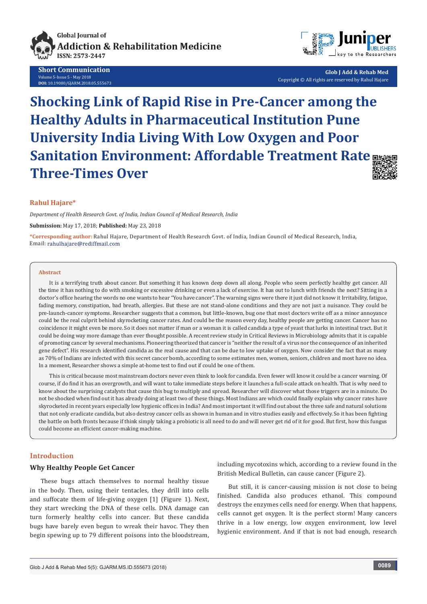

**Short Communication** Volume 5-Issue 5 - May 2018 **DOI:** [10.19080/GJARM.2018.05.555673](http://dx.doi.org/10.19080/GJARM.2018.05.555673)



**Glob J Add & Rehab Med** Copyright © All rights are reserved by Rahul Hajare

# **Shocking Link of Rapid Rise in Pre-Cancer among the Healthy Adults in Pharmaceutical Institution Pune University India Living With Low Oxygen and Poor Sanitation Environment: Affordable Treatment Rate Three-Times Over**



#### **Rahul Hajare\***

*Department of Health Research Govt. of India, Indian Council of Medical Research, India*

**Submission:** May 17, 2018; **Published:** May 23, 2018

**\*Corresponding author:** Rahul Hajare, Department of Health Research Govt. of India, Indian Council of Medical Research, India, Email: rahulhajare@rediffmail.com

#### **Abstract**

It is a terrifying truth about cancer. But something it has known deep down all along. People who seem perfectly healthy get cancer. All the time it has nothing to do with smoking or excessive drinking or even a lack of exercise. It has out to lunch with friends the next? Sitting in a doctor's office hearing the words no one wants to hear "You have cancer". The warning signs were there it just did not know it Irritability, fatigue, fading memory, constipation, bad breath, allergies. But these are not stand-alone conditions and they are not just a nuisance. They could be pre-launch-cancer symptoms. Researcher suggests that a common, but little-known, bug one that most doctors write off as a minor annoyance could be the real culprit behind skyrocketing cancer rates. And could be the reason every day, healthy people are getting cancer. Cancer has no coincidence it might even be more. So it does not matter if man or a woman it is called candida a type of yeast that lurks in intestinal tract. But it could be doing way more damage than ever thought possible. A recent review study in Critical Reviews in Microbiology admits that it is capable of promoting cancer by several mechanisms. Pioneering theorized that cancer is "neither the result of a virus nor the consequence of an inherited gene defect". His research identified candida as the real cause and that can be due to low uptake of oxygen. Now consider the fact that as many as 70% of Indians are infected with this secret cancer bomb, according to some estimates men, women, seniors, children and most have no idea. In a moment, Researcher shows a simple at-home test to find out if could be one of them.

This is critical because most mainstream doctors never even think to look for candida. Even fewer will know it could be a cancer warning. Of course, if do find it has an overgrowth, and will want to take immediate steps before it launches a full-scale attack on health. That is why need to know about the surprising catalysts that cause this bug to multiply and spread. Researcher will discover what those triggers are in a minute. Do not be shocked when find out it has already doing at least two of these things. Most Indians are which could finally explain why cancer rates have skyrocketed in recent years especially low hygienic offices in India? And most important it will find out about the three safe and natural solutions that not only eradicate candida, but also destroy cancer cells as shown in human and in vitro studies easily and effectively. So it has been fighting the battle on both fronts because if think simply taking a probiotic is all need to do and will never get rid of it for good. But first, how this fungus could become an efficient cancer-making machine.

#### **Introduction**

#### **Why Healthy People Get Cancer**

These bugs attach themselves to normal healthy tissue in the body. Then, using their tentacles, they drill into cells and suffocate them of life-giving oxygen [1] (Figure 1). Next, they start wrecking the DNA of these cells. DNA damage can turn formerly healthy cells into cancer. But these candida bugs have barely even begun to wreak their havoc. They then begin spewing up to 79 different poisons into the bloodstream,

including mycotoxins which, according to a review found in the British Medical Bulletin, can cause cancer (Figure 2).

But still, it is cancer-causing mission is not close to being finished. Candida also produces ethanol. This compound destroys the enzymes cells need for energy. When that happens, cells cannot get oxygen. It is the perfect storm! Many cancers thrive in a low energy, low oxygen environment, low level hygienic environment. And if that is not bad enough, research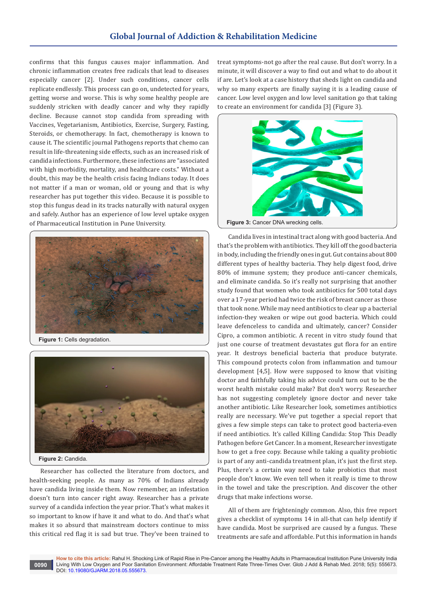## **Global Journal of Addiction & Rehabilitation Medicine**

confirms that this fungus causes major inflammation. And chronic inflammation creates free radicals that lead to diseases especially cancer [2]. Under such conditions, cancer cells replicate endlessly. This process can go on, undetected for years, getting worse and worse. This is why some healthy people are suddenly stricken with deadly cancer and why they rapidly decline. Because cannot stop candida from spreading with Vaccines, Vegetarianism, Antibiotics, Exercise, Surgery, Fasting, Steroids, or chemotherapy. In fact, chemotherapy is known to cause it. The scientific journal Pathogens reports that chemo can result in life-threatening side effects, such as an increased risk of candida infections. Furthermore, these infections are "associated with high morbidity, mortality, and healthcare costs." Without a doubt, this may be the health crisis facing Indians today. It does not matter if a man or woman, old or young and that is why researcher has put together this video. Because it is possible to stop this fungus dead in its tracks naturally with natural oxygen and safely. Author has an experience of low level uptake oxygen of Pharmaceutical Institution in Pune University.



**Figure 1:** Cells degradation.



Researcher has collected the literature from doctors, and health-seeking people. As many as 70% of Indians already have candida living inside them. Now remember, an infestation doesn't turn into cancer right away. Researcher has a private survey of a candida infection the year prior. That's what makes it so important to know if have it and what to do. And that's what makes it so absurd that mainstream doctors continue to miss this critical red flag it is sad but true. They've been trained to

treat symptoms-not go after the real cause. But don't worry. In a minute, it will discover a way to find out and what to do about it if are. Let's look at a case history that sheds light on candida and why so many experts are finally saying it is a leading cause of cancer. Low level oxygen and low level sanitation go that taking to create an environment for candida [3] (Figure 3).



Candida lives in intestinal tract along with good bacteria. And that's the problem with antibiotics. They kill off the good bacteria in body, including the friendly ones in gut. Gut contains about 800 different types of healthy bacteria. They help digest food, drive 80% of immune system; they produce anti-cancer chemicals, and eliminate candida. So it's really not surprising that another study found that women who took antibiotics for 500 total days over a 17-year period had twice the risk of breast cancer as those that took none. While may need antibiotics to clear up a bacterial infection-they weaken or wipe out good bacteria. Which could leave defenceless to candida and ultimately, cancer? Consider Cipro, a common antibiotic. A recent in vitro study found that just one course of treatment devastates gut flora for an entire year. It destroys beneficial bacteria that produce butyrate. This compound protects colon from inflammation and tumour development [4,5]. How were supposed to know that visiting doctor and faithfully taking his advice could turn out to be the worst health mistake could make? But don't worry. Researcher has not suggesting completely ignore doctor and never take another antibiotic. Like Researcher look, sometimes antibiotics really are necessary. We've put together a special report that gives a few simple steps can take to protect good bacteria-even if need antibiotics. It's called Killing Candida: Stop This Deadly Pathogen before Get Cancer. In a moment, Researcher investigate how to get a free copy. Because while taking a quality probiotic is part of any anti-candida treatment plan, it's just the first step. Plus, there's a certain way need to take probiotics that most people don't know. We even tell when it really is time to throw in the towel and take the prescription. And discover the other drugs that make infections worse.

All of them are frighteningly common. Also, this free report gives a checklist of symptoms 14 in all-that can help identify if have candida. Most be surprised are caused by a fungus. These treatments are safe and affordable. Put this information in hands